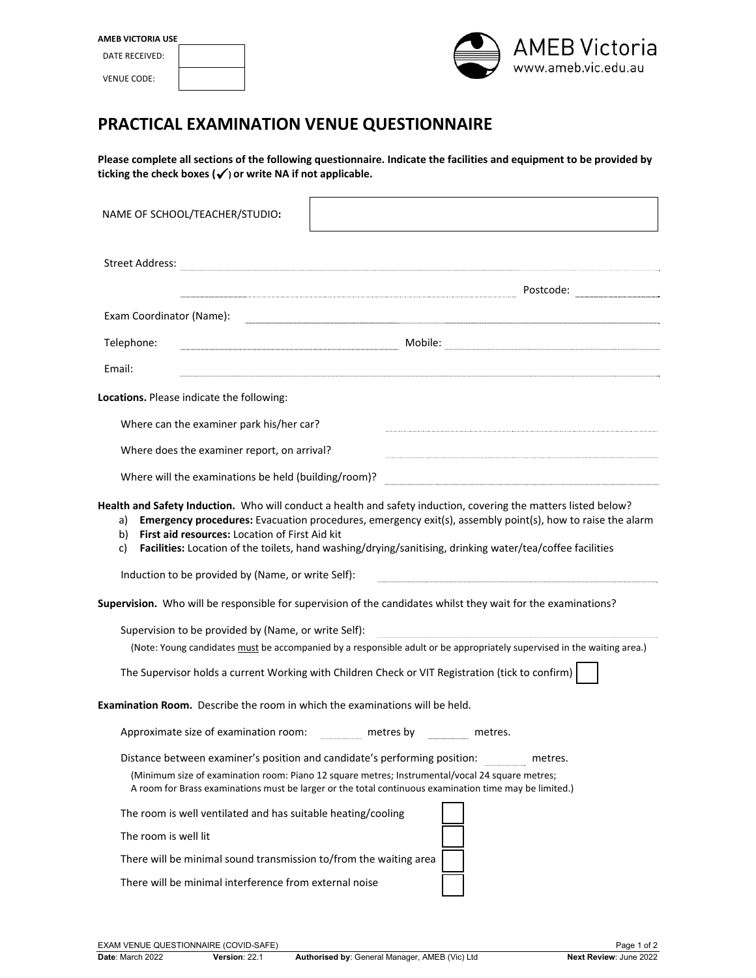| <b>AMEB VICTORIA USE</b> |  |  |  |
|--------------------------|--|--|--|
| DATE RECEIVED:           |  |  |  |
| <b>VENUE CODE:</b>       |  |  |  |



## **PRACTICAL EXAMINATION VENUE QUESTIONNAIRE**

Please complete all sections of the following questionnaire. Indicate the facilities and equipment to be provided by **ticking the check boxes () or write NA if not applicable.**

| NAME OF SCHOOL/TEACHER/STUDIO:                                                                                                                                                                                                                                                                                                                                                                                                                                      |                                                                                                                                                                                                                             |  |  |  |
|---------------------------------------------------------------------------------------------------------------------------------------------------------------------------------------------------------------------------------------------------------------------------------------------------------------------------------------------------------------------------------------------------------------------------------------------------------------------|-----------------------------------------------------------------------------------------------------------------------------------------------------------------------------------------------------------------------------|--|--|--|
| <b>Street Address:</b>                                                                                                                                                                                                                                                                                                                                                                                                                                              |                                                                                                                                                                                                                             |  |  |  |
|                                                                                                                                                                                                                                                                                                                                                                                                                                                                     |                                                                                                                                                                                                                             |  |  |  |
| Exam Coordinator (Name):                                                                                                                                                                                                                                                                                                                                                                                                                                            |                                                                                                                                                                                                                             |  |  |  |
| Telephone:                                                                                                                                                                                                                                                                                                                                                                                                                                                          | e de la production de la production de la production de la production de la production de la production de la                                                                                                               |  |  |  |
| Email:                                                                                                                                                                                                                                                                                                                                                                                                                                                              |                                                                                                                                                                                                                             |  |  |  |
| Locations. Please indicate the following:                                                                                                                                                                                                                                                                                                                                                                                                                           |                                                                                                                                                                                                                             |  |  |  |
| Where can the examiner park his/her car?                                                                                                                                                                                                                                                                                                                                                                                                                            |                                                                                                                                                                                                                             |  |  |  |
| Where does the examiner report, on arrival?                                                                                                                                                                                                                                                                                                                                                                                                                         |                                                                                                                                                                                                                             |  |  |  |
| Where will the examinations be held (building/room)?                                                                                                                                                                                                                                                                                                                                                                                                                |                                                                                                                                                                                                                             |  |  |  |
| Health and Safety Induction. Who will conduct a health and safety induction, covering the matters listed below?<br>Emergency procedures: Evacuation procedures, emergency exit(s), assembly point(s), how to raise the alarm<br>a)<br>First aid resources: Location of First Aid kit<br>b)<br>Facilities: Location of the toilets, hand washing/drying/sanitising, drinking water/tea/coffee facilities<br>c)<br>Induction to be provided by (Name, or write Self): |                                                                                                                                                                                                                             |  |  |  |
|                                                                                                                                                                                                                                                                                                                                                                                                                                                                     | Supervision. Who will be responsible for supervision of the candidates whilst they wait for the examinations?                                                                                                               |  |  |  |
| Supervision to be provided by (Name, or write Self):                                                                                                                                                                                                                                                                                                                                                                                                                | (Note: Young candidates must be accompanied by a responsible adult or be appropriately supervised in the waiting area.)<br>The Supervisor holds a current Working with Children Check or VIT Registration (tick to confirm) |  |  |  |
|                                                                                                                                                                                                                                                                                                                                                                                                                                                                     |                                                                                                                                                                                                                             |  |  |  |
| <b>Examination Room.</b> Describe the room in which the examinations will be held.                                                                                                                                                                                                                                                                                                                                                                                  |                                                                                                                                                                                                                             |  |  |  |
| Approximate size of examination room: ___________ metres by __________                                                                                                                                                                                                                                                                                                                                                                                              | metres.                                                                                                                                                                                                                     |  |  |  |
| Distance between examiner's position and candidate's performing position:                                                                                                                                                                                                                                                                                                                                                                                           | metres.<br>(Minimum size of examination room: Piano 12 square metres; Instrumental/vocal 24 square metres;<br>A room for Brass examinations must be larger or the total continuous examination time may be limited.)        |  |  |  |
| The room is well ventilated and has suitable heating/cooling                                                                                                                                                                                                                                                                                                                                                                                                        |                                                                                                                                                                                                                             |  |  |  |
| The room is well lit                                                                                                                                                                                                                                                                                                                                                                                                                                                |                                                                                                                                                                                                                             |  |  |  |
| There will be minimal sound transmission to/from the waiting area                                                                                                                                                                                                                                                                                                                                                                                                   |                                                                                                                                                                                                                             |  |  |  |
| There will be minimal interference from external noise                                                                                                                                                                                                                                                                                                                                                                                                              |                                                                                                                                                                                                                             |  |  |  |